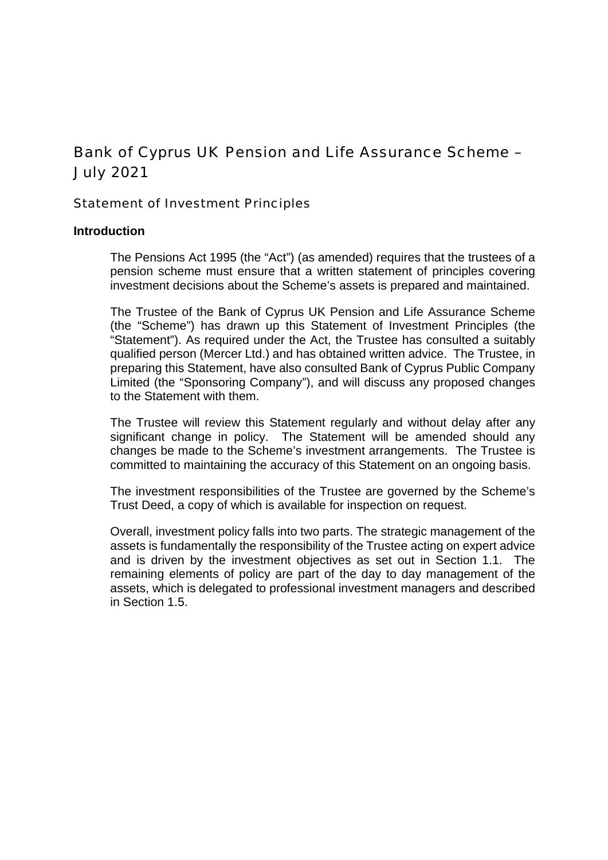# Bank of Cyprus UK Pension and Life Assurance Scheme – July 2021

Statement of Investment Principles

# **Introduction**

The Pensions Act 1995 (the "Act") (as amended) requires that the trustees of a pension scheme must ensure that a written statement of principles covering investment decisions about the Scheme's assets is prepared and maintained.

The Trustee of the Bank of Cyprus UK Pension and Life Assurance Scheme (the "Scheme") has drawn up this Statement of Investment Principles (the "Statement"). As required under the Act, the Trustee has consulted a suitably qualified person (Mercer Ltd.) and has obtained written advice. The Trustee, in preparing this Statement, have also consulted Bank of Cyprus Public Company Limited (the "Sponsoring Company"), and will discuss any proposed changes to the Statement with them.

The Trustee will review this Statement regularly and without delay after any significant change in policy. The Statement will be amended should any changes be made to the Scheme's investment arrangements. The Trustee is committed to maintaining the accuracy of this Statement on an ongoing basis.

The investment responsibilities of the Trustee are governed by the Scheme's Trust Deed, a copy of which is available for inspection on request.

Overall, investment policy falls into two parts. The strategic management of the assets is fundamentally the responsibility of the Trustee acting on expert advice and is driven by the investment objectives as set out in Section 1.1. The remaining elements of policy are part of the day to day management of the assets, which is delegated to professional investment managers and described in Section 1.5.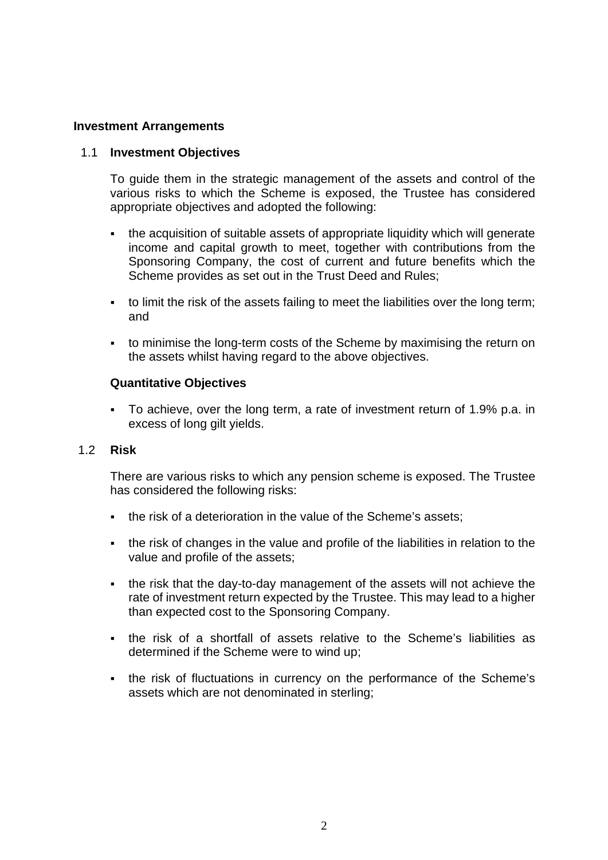# **Investment Arrangements**

## 1.1 **Investment Objectives**

To guide them in the strategic management of the assets and control of the various risks to which the Scheme is exposed, the Trustee has considered appropriate objectives and adopted the following:

- the acquisition of suitable assets of appropriate liquidity which will generate income and capital growth to meet, together with contributions from the Sponsoring Company, the cost of current and future benefits which the Scheme provides as set out in the Trust Deed and Rules;
- to limit the risk of the assets failing to meet the liabilities over the long term; and
- to minimise the long-term costs of the Scheme by maximising the return on the assets whilst having regard to the above objectives.

## **Quantitative Objectives**

 To achieve, over the long term, a rate of investment return of 1.9% p.a. in excess of long gilt yields.

## 1.2 **Risk**

There are various risks to which any pension scheme is exposed. The Trustee has considered the following risks:

- the risk of a deterioration in the value of the Scheme's assets;
- the risk of changes in the value and profile of the liabilities in relation to the value and profile of the assets;
- the risk that the day-to-day management of the assets will not achieve the rate of investment return expected by the Trustee. This may lead to a higher than expected cost to the Sponsoring Company.
- the risk of a shortfall of assets relative to the Scheme's liabilities as determined if the Scheme were to wind up;
- the risk of fluctuations in currency on the performance of the Scheme's assets which are not denominated in sterling;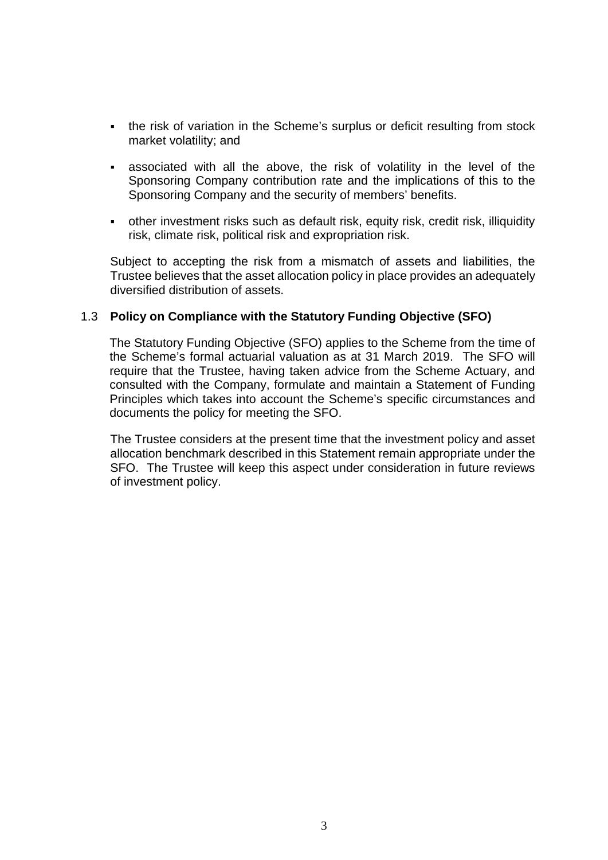- the risk of variation in the Scheme's surplus or deficit resulting from stock market volatility; and
- associated with all the above, the risk of volatility in the level of the Sponsoring Company contribution rate and the implications of this to the Sponsoring Company and the security of members' benefits.
- other investment risks such as default risk, equity risk, credit risk, illiquidity risk, climate risk, political risk and expropriation risk.

Subject to accepting the risk from a mismatch of assets and liabilities, the Trustee believes that the asset allocation policy in place provides an adequately diversified distribution of assets.

# 1.3 **Policy on Compliance with the Statutory Funding Objective (SFO)**

The Statutory Funding Objective (SFO) applies to the Scheme from the time of the Scheme's formal actuarial valuation as at 31 March 2019. The SFO will require that the Trustee, having taken advice from the Scheme Actuary, and consulted with the Company, formulate and maintain a Statement of Funding Principles which takes into account the Scheme's specific circumstances and documents the policy for meeting the SFO.

The Trustee considers at the present time that the investment policy and asset allocation benchmark described in this Statement remain appropriate under the SFO. The Trustee will keep this aspect under consideration in future reviews of investment policy.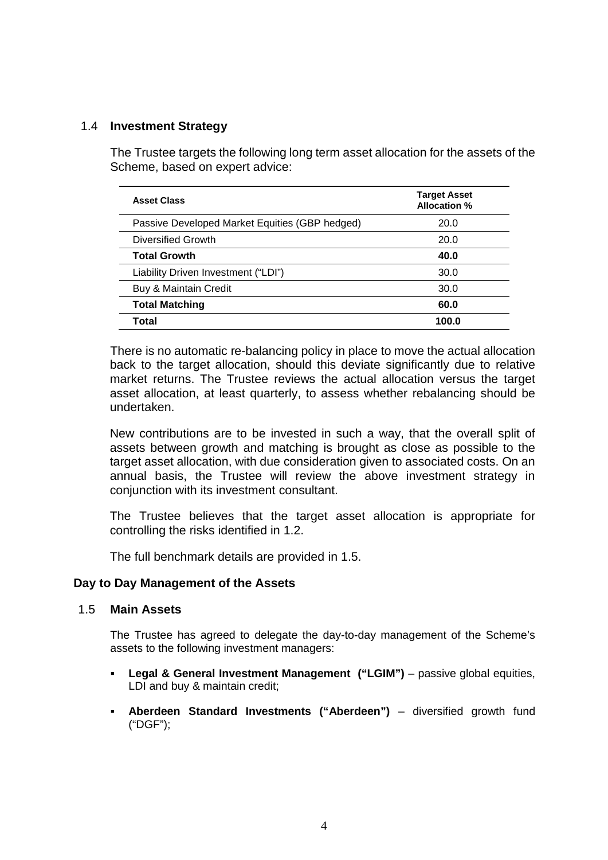# 1.4 **Investment Strategy**

The Trustee targets the following long term asset allocation for the assets of the Scheme, based on expert advice:

| <b>Asset Class</b>                             | <b>Target Asset</b><br>Allocation % |
|------------------------------------------------|-------------------------------------|
| Passive Developed Market Equities (GBP hedged) | 20.0                                |
| Diversified Growth                             | 20.0                                |
| <b>Total Growth</b>                            | 40.0                                |
| Liability Driven Investment ("LDI")            | 30.0                                |
| Buy & Maintain Credit                          | 30.0                                |
| <b>Total Matching</b>                          | 60.0                                |
| Total                                          | 100.0                               |

There is no automatic re-balancing policy in place to move the actual allocation back to the target allocation, should this deviate significantly due to relative market returns. The Trustee reviews the actual allocation versus the target asset allocation, at least quarterly, to assess whether rebalancing should be undertaken.

New contributions are to be invested in such a way, that the overall split of assets between growth and matching is brought as close as possible to the target asset allocation, with due consideration given to associated costs. On an annual basis, the Trustee will review the above investment strategy in conjunction with its investment consultant.

The Trustee believes that the target asset allocation is appropriate for controlling the risks identified in 1.2.

The full benchmark details are provided in 1.5.

## **Day to Day Management of the Assets**

## 1.5 **Main Assets**

The Trustee has agreed to delegate the day-to-day management of the Scheme's assets to the following investment managers:

- **Legal & General Investment Management ("LGIM")** passive global equities, LDI and buy & maintain credit;
- **Aberdeen Standard Investments ("Aberdeen")** diversified growth fund ("DGF");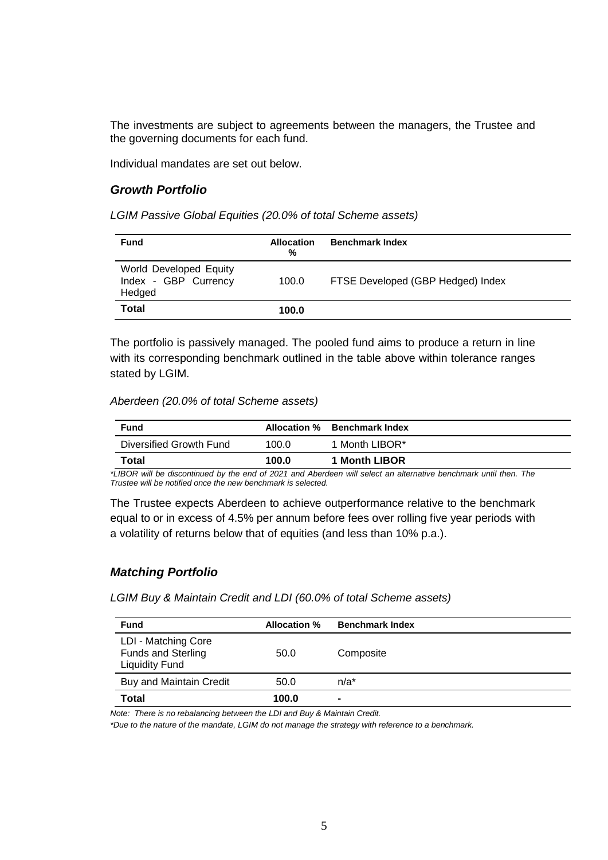The investments are subject to agreements between the managers, the Trustee and the governing documents for each fund.

Individual mandates are set out below.

## *Growth Portfolio*

*LGIM Passive Global Equities (20.0% of total Scheme assets)*

| <b>Fund</b>                                              | <b>Allocation</b><br>% | <b>Benchmark Index</b>            |
|----------------------------------------------------------|------------------------|-----------------------------------|
| World Developed Equity<br>Index - GBP Currency<br>Hedged | 100.0                  | FTSE Developed (GBP Hedged) Index |
| <b>Total</b>                                             | 100.0                  |                                   |

The portfolio is passively managed. The pooled fund aims to produce a return in line with its corresponding benchmark outlined in the table above within tolerance ranges stated by LGIM.

#### *Aberdeen (20.0% of total Scheme assets)*

| Fund                    |       | Allocation % Benchmark Index |
|-------------------------|-------|------------------------------|
| Diversified Growth Fund | 100.0 | 1 Month LIBOR*               |
| Total                   | 100.0 | 1 Month LIBOR                |

*\*LIBOR will be discontinued by the end of 2021 and Aberdeen will select an alternative benchmark until then. The Trustee will be notified once the new benchmark is selected.*

The Trustee expects Aberdeen to achieve outperformance relative to the benchmark equal to or in excess of 4.5% per annum before fees over rolling five year periods with a volatility of returns below that of equities (and less than 10% p.a.).

## *Matching Portfolio*

*LGIM Buy & Maintain Credit and LDI (60.0% of total Scheme assets)*

| <b>Fund</b>                                                               | <b>Allocation %</b> | <b>Benchmark Index</b> |
|---------------------------------------------------------------------------|---------------------|------------------------|
| LDI - Matching Core<br><b>Funds and Sterling</b><br><b>Liquidity Fund</b> | 50.0                | Composite              |
| Buy and Maintain Credit                                                   | 50.0                | $n/a^*$                |
| <b>Total</b>                                                              | 100.0               | $\blacksquare$         |

*Note: There is no rebalancing between the LDI and Buy & Maintain Credit.*

*\*Due to the nature of the mandate, LGIM do not manage the strategy with reference to a benchmark.*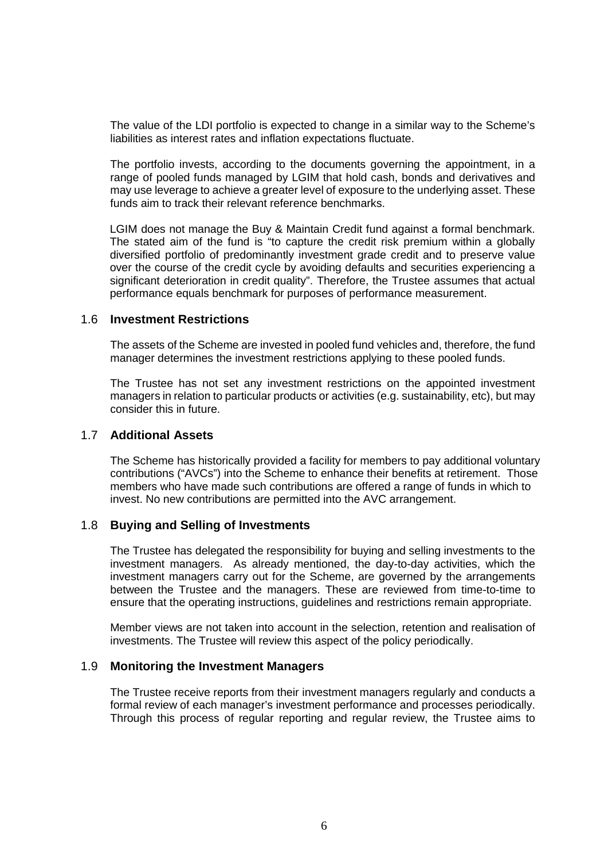The value of the LDI portfolio is expected to change in a similar way to the Scheme's liabilities as interest rates and inflation expectations fluctuate.

The portfolio invests, according to the documents governing the appointment, in a range of pooled funds managed by LGIM that hold cash, bonds and derivatives and may use leverage to achieve a greater level of exposure to the underlying asset. These funds aim to track their relevant reference benchmarks.

LGIM does not manage the Buy & Maintain Credit fund against a formal benchmark. The stated aim of the fund is "to capture the credit risk premium within a globally diversified portfolio of predominantly investment grade credit and to preserve value over the course of the credit cycle by avoiding defaults and securities experiencing a significant deterioration in credit quality". Therefore, the Trustee assumes that actual performance equals benchmark for purposes of performance measurement.

#### 1.6 **Investment Restrictions**

The assets of the Scheme are invested in pooled fund vehicles and, therefore, the fund manager determines the investment restrictions applying to these pooled funds.

The Trustee has not set any investment restrictions on the appointed investment managers in relation to particular products or activities (e.g. sustainability, etc), but may consider this in future.

#### 1.7 **Additional Assets**

The Scheme has historically provided a facility for members to pay additional voluntary contributions ("AVCs") into the Scheme to enhance their benefits at retirement. Those members who have made such contributions are offered a range of funds in which to invest. No new contributions are permitted into the AVC arrangement.

#### 1.8 **Buying and Selling of Investments**

The Trustee has delegated the responsibility for buying and selling investments to the investment managers. As already mentioned, the day-to-day activities, which the investment managers carry out for the Scheme, are governed by the arrangements between the Trustee and the managers. These are reviewed from time-to-time to ensure that the operating instructions, guidelines and restrictions remain appropriate.

Member views are not taken into account in the selection, retention and realisation of investments. The Trustee will review this aspect of the policy periodically.

#### 1.9 **Monitoring the Investment Managers**

The Trustee receive reports from their investment managers regularly and conducts a formal review of each manager's investment performance and processes periodically. Through this process of regular reporting and regular review, the Trustee aims to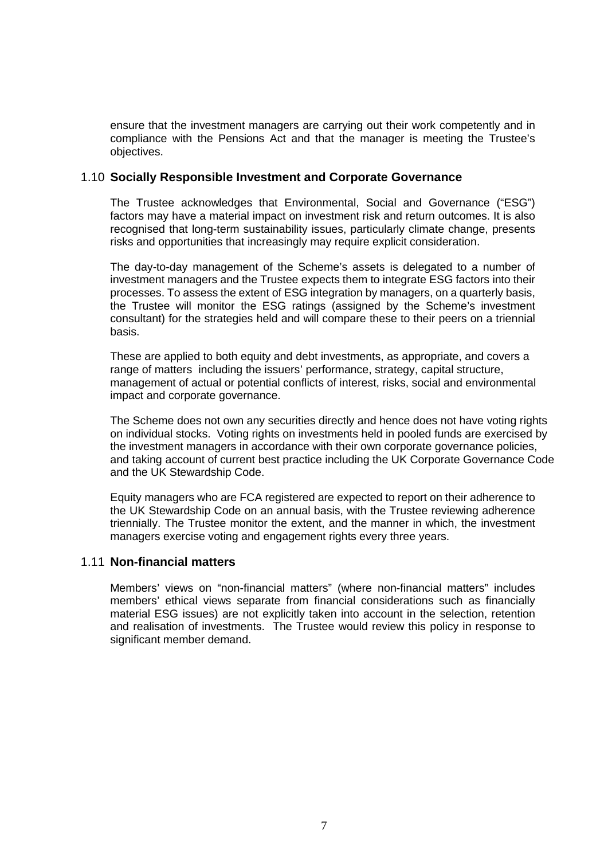ensure that the investment managers are carrying out their work competently and in compliance with the Pensions Act and that the manager is meeting the Trustee's objectives.

## 1.10 **Socially Responsible Investment and Corporate Governance**

The Trustee acknowledges that Environmental, Social and Governance ("ESG") factors may have a material impact on investment risk and return outcomes. It is also recognised that long-term sustainability issues, particularly climate change, presents risks and opportunities that increasingly may require explicit consideration.

The day-to-day management of the Scheme's assets is delegated to a number of investment managers and the Trustee expects them to integrate ESG factors into their processes. To assess the extent of ESG integration by managers, on a quarterly basis, the Trustee will monitor the ESG ratings (assigned by the Scheme's investment consultant) for the strategies held and will compare these to their peers on a triennial basis.

These are applied to both equity and debt investments, as appropriate, and covers a range of matters including the issuers' performance, strategy, capital structure, management of actual or potential conflicts of interest, risks, social and environmental impact and corporate governance.

The Scheme does not own any securities directly and hence does not have voting rights on individual stocks. Voting rights on investments held in pooled funds are exercised by the investment managers in accordance with their own corporate governance policies, and taking account of current best practice including the UK Corporate Governance Code and the UK Stewardship Code.

Equity managers who are FCA registered are expected to report on their adherence to the UK Stewardship Code on an annual basis, with the Trustee reviewing adherence triennially. The Trustee monitor the extent, and the manner in which, the investment managers exercise voting and engagement rights every three years.

## 1.11 **Non-financial matters**

Members' views on "non-financial matters" (where non-financial matters" includes members' ethical views separate from financial considerations such as financially material ESG issues) are not explicitly taken into account in the selection, retention and realisation of investments. The Trustee would review this policy in response to significant member demand.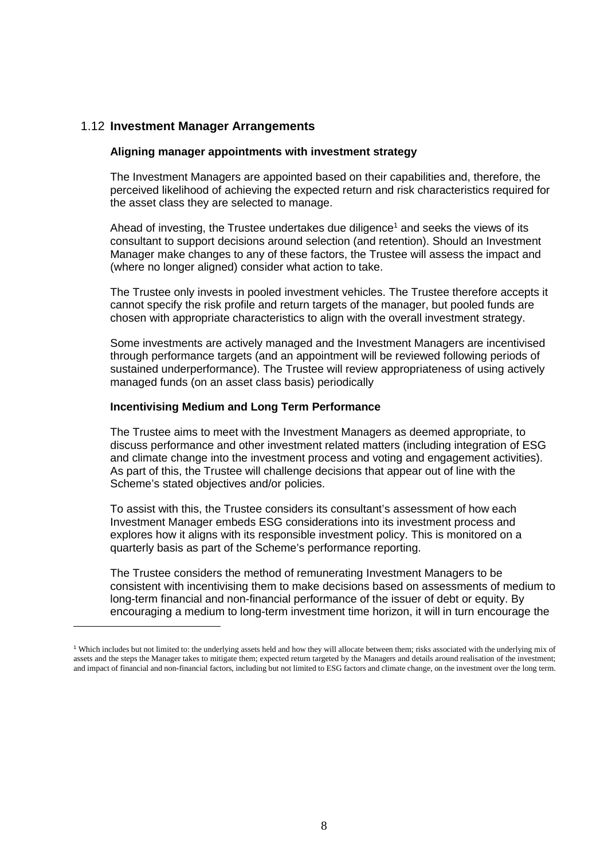# 1.12 **Investment Manager Arrangements**

#### **Aligning manager appointments with investment strategy**

The Investment Managers are appointed based on their capabilities and, therefore, the perceived likelihood of achieving the expected return and risk characteristics required for the asset class they are selected to manage.

Ahead of investing, the Trustee undertakes due diligence<sup>1</sup> and seeks the views of its consultant to support decisions around selection (and retention). Should an Investment Manager make changes to any of these factors, the Trustee will assess the impact and (where no longer aligned) consider what action to take.

The Trustee only invests in pooled investment vehicles. The Trustee therefore accepts it cannot specify the risk profile and return targets of the manager, but pooled funds are chosen with appropriate characteristics to align with the overall investment strategy.

Some investments are actively managed and the Investment Managers are incentivised through performance targets (and an appointment will be reviewed following periods of sustained underperformance). The Trustee will review appropriateness of using actively managed funds (on an asset class basis) periodically

#### **Incentivising Medium and Long Term Performance**

The Trustee aims to meet with the Investment Managers as deemed appropriate, to discuss performance and other investment related matters (including integration of ESG and climate change into the investment process and voting and engagement activities). As part of this, the Trustee will challenge decisions that appear out of line with the Scheme's stated objectives and/or policies.

To assist with this, the Trustee considers its consultant's assessment of how each Investment Manager embeds ESG considerations into its investment process and explores how it aligns with its responsible investment policy. This is monitored on a quarterly basis as part of the Scheme's performance reporting.

The Trustee considers the method of remunerating Investment Managers to be consistent with incentivising them to make decisions based on assessments of medium to long-term financial and non-financial performance of the issuer of debt or equity. By encouraging a medium to long-term investment time horizon, it will in turn encourage the

<sup>&</sup>lt;sup>1</sup> Which includes but not limited to: the underlying assets held and how they will allocate between them; risks associated with the underlying mix of assets and the steps the Manager takes to mitigate them; expected return targeted by the Managers and details around realisation of the investment; and impact of financial and non-financial factors, including but not limited to ESG factors and climate change, on the investment over the long term.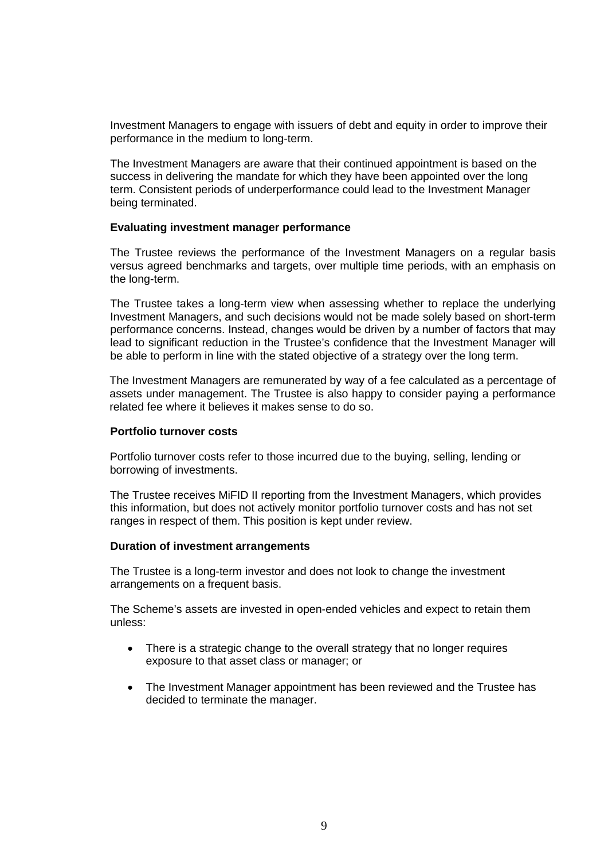Investment Managers to engage with issuers of debt and equity in order to improve their performance in the medium to long-term.

The Investment Managers are aware that their continued appointment is based on the success in delivering the mandate for which they have been appointed over the long term. Consistent periods of underperformance could lead to the Investment Manager being terminated.

#### **Evaluating investment manager performance**

The Trustee reviews the performance of the Investment Managers on a regular basis versus agreed benchmarks and targets, over multiple time periods, with an emphasis on the long-term.

The Trustee takes a long-term view when assessing whether to replace the underlying Investment Managers, and such decisions would not be made solely based on short-term performance concerns. Instead, changes would be driven by a number of factors that may lead to significant reduction in the Trustee's confidence that the Investment Manager will be able to perform in line with the stated objective of a strategy over the long term.

The Investment Managers are remunerated by way of a fee calculated as a percentage of assets under management. The Trustee is also happy to consider paying a performance related fee where it believes it makes sense to do so.

#### **Portfolio turnover costs**

Portfolio turnover costs refer to those incurred due to the buying, selling, lending or borrowing of investments.

The Trustee receives MiFID II reporting from the Investment Managers, which provides this information, but does not actively monitor portfolio turnover costs and has not set ranges in respect of them. This position is kept under review.

#### **Duration of investment arrangements**

The Trustee is a long-term investor and does not look to change the investment arrangements on a frequent basis.

The Scheme's assets are invested in open-ended vehicles and expect to retain them unless:

- There is a strategic change to the overall strategy that no longer requires exposure to that asset class or manager; or
- The Investment Manager appointment has been reviewed and the Trustee has decided to terminate the manager.